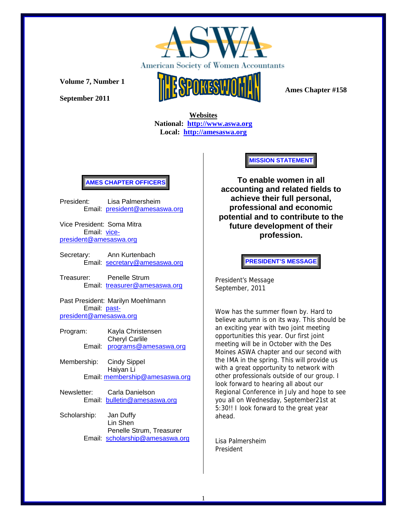

**September 2011** 



 **Ames Chapter #158** 

 **Websites National: http://www.aswa.org Local: http://amesaswa.org**

## **AMES CHAPTER OFFICERS**

President: Lisa Palmersheim Email: president@amesaswa.org

Vice President: Soma Mitra Email: vicepresident@amesaswa.org

Secretary: Ann Kurtenbach Email: secretary@amesaswa.org

Treasurer: Penelle Strum Email: treasurer@amesaswa.org

Past President: Marilyn Moehlmann Email: pastpresident@amesaswa.org

- Program: Kayla Christensen Cheryl Carlile Email: programs@amesaswa.org
- Membership: Cindy Sippel Haiyan Li Email: membership@amesaswa.org
- Newsletter: Carla Danielson Email: bulletin@amesaswa.org
- Scholarship: Jan Duffy Lin Shen Penelle Strum, Treasurer Email: scholarship@amesaswa.org

**MISSION STATEMENT** 

**To enable women in all accounting and related fields to achieve their full personal, professional and economic potential and to contribute to the future development of their profession.**

## **PRESIDENT'S MESSAGE**

President's Message September, 2011

Wow has the summer flown by. Hard to believe autumn is on its way. This should be an exciting year with two joint meeting opportunities this year. Our first joint meeting will be in October with the Des Moines ASWA chapter and our second with the IMA in the spring. This will provide us with a great opportunity to network with other professionals outside of our group. I look forward to hearing all about our Regional Conference in July and hope to see you all on Wednesday, September21st at 5:30!! I look forward to the great year ahead.

Lisa Palmersheim President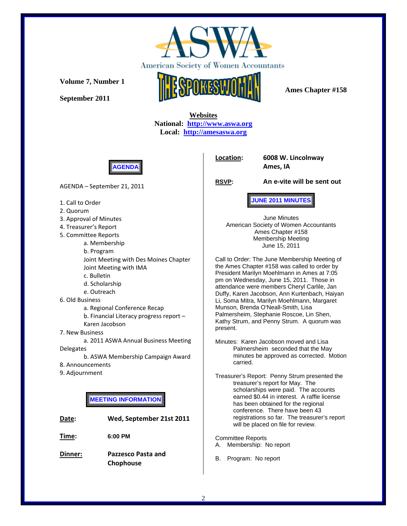

**September 2011** 



 **Ames Chapter #158** 

 **Websites National: http://www.aswa.org Local: http://amesaswa.org**



AGENDA – September 21, 2011

- 1. Call to Order
- 2. Quorum
- 3. Approval of Minutes
- 4. Treasurer's Report
- 5. Committee Reports

a. Membership b. Program Joint Meeting with Des Moines Chapter Joint Meeting with IMA

- c. Bulletin
- d. Scholarship
- e. Outreach
- 6. Old Business

a. Regional Conference Recap

b. Financial Literacy progress report – Karen Jacobson

7. New Business

a. 2011 ASWA Annual Business Meeting **Delegates** 

b. ASWA Membership Campaign Award

- 8. Announcements
- 9. Adjournment

**MEETING INFORMATION** 

| Date:   | Wed, September 21st 2011 |  |
|---------|--------------------------|--|
| Time:   | 6:00 PM                  |  |
| Dinner: | Pazzesco Pasta and       |  |

**Chophouse**

**Location: 6008 W. Lincolnway**

**Ames, IA**

**RSVP: An e-vite will be sent out**

**JUNE 2011 MINUTES** 

June Minutes American Society of Women Accountants Ames Chapter #158 Membership Meeting June 15, 2011

Call to Order: The June Membership Meeting of the Ames Chapter #158 was called to order by President Marilyn Moehlmann in Ames at 7:05 pm on Wednesday, June 15, 2011. Those in attendance were members Cheryl Carlile, Jan Duffy, Karen Jacobson, Ann Kurtenbach, Haiyan Li, Soma Mitra, Marilyn Moehlmann, Margaret Munson, Brenda O'Neall-Smith, Lisa Palmersheim, Stephanie Roscoe, Lin Shen, Kathy Strum, and Penny Strum. A quorum was present.

Minutes: Karen Jacobson moved and Lisa Palmersheim seconded that the May minutes be approved as corrected. Motion carried.

Treasurer's Report: Penny Strum presented the treasurer's report for May. The scholarships were paid. The accounts earned \$0.44 in interest. A raffle license has been obtained for the regional conference. There have been 43 registrations so far. The treasurer's report will be placed on file for review.

Committee Reports A. Membership: No report

B. Program: No report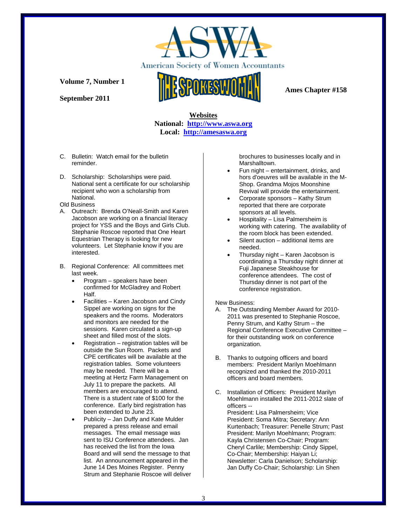

**September 2011** 



 **Ames Chapter #158** 

## **Websites National: http://www.aswa.org Local: http://amesaswa.org**

- C. Bulletin: Watch email for the bulletin reminder.
- D. Scholarship: Scholarships were paid. National sent a certificate for our scholarship recipient who won a scholarship from National.
- Old Business
- A. Outreach: Brenda O'Neall-Smith and Karen Jacobson are working on a financial literacy project for YSS and the Boys and Girls Club. Stephanie Roscoe reported that One Heart Equestrian Therapy is looking for new volunteers. Let Stephanie know if you are interested.
- B. Regional Conference: All committees met last week.
	- Program speakers have been confirmed for McGladrey and Robert Half.
	- Facilities Karen Jacobson and Cindy Sippel are working on signs for the speakers and the rooms. Moderators and monitors are needed for the sessions. Karen circulated a sign-up sheet and filled most of the slots.
	- Registration registration tables will be outside the Sun Room. Packets and CPE certificates will be available at the registration tables. Some volunteers may be needed. There will be a meeting at Hertz Farm Management on July 11 to prepare the packets. All members are encouraged to attend. There is a student rate of \$100 for the conference. Early bird registration has been extended to June 23.
	- Publicity Jan Duffy and Kate Mulder prepared a press release and email messages. The email message was sent to ISU Conference attendees. Jan has received the list from the Iowa Board and will send the message to that list. An announcement appeared in the June 14 Des Moines Register. Penny Strum and Stephanie Roscoe will deliver

brochures to businesses locally and in Marshalltown.

- Fun night entertainment, drinks, and hors d'oeuvres will be available in the M-Shop. Grandma Mojos Moonshine Revival will provide the entertainment.
- Corporate sponsors Kathy Strum reported that there are corporate sponsors at all levels.
- Hospitality Lisa Palmersheim is working with catering. The availability of the room block has been extended.
- Silent auction additional items are needed.
- Thursday night Karen Jacobson is coordinating a Thursday night dinner at Fuji Japanese Steakhouse for conference attendees. The cost of Thursday dinner is not part of the conference registration.

## New Business:

- A. The Outstanding Member Award for 2010- 2011 was presented to Stephanie Roscoe, Penny Strum, and Kathy Strum – the Regional Conference Executive Committee – for their outstanding work on conference organization.
- B. Thanks to outgoing officers and board members: President Marilyn Moehlmann recognized and thanked the 2010-2011 officers and board members.
- C. Installation of Officers: President Marilyn Moehlmann installed the 2011-2012 slate of officers -- President: Lisa Palmersheim; Vice

President: Soma Mitra; Secretary: Ann Kurtenbach; Treasurer: Penelle Strum; Past President: Marilyn Moehlmann; Program: Kayla Christensen Co-Chair; Program: Cheryl Carlile; Membership: Cindy Sippel, Co-Chair; Membership: Haiyan Li; Newsletter: Carla Danielson; Scholarship: Jan Duffy Co-Chair; Scholarship: Lin Shen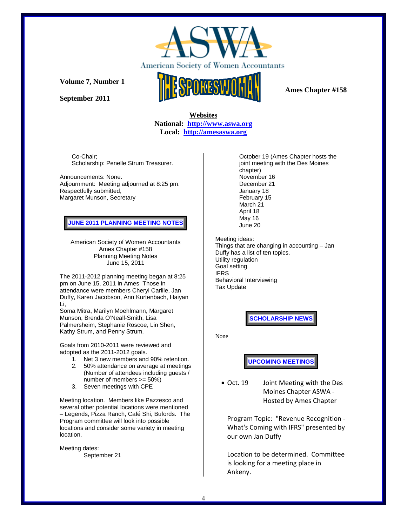

**September 2011** 



 **Ames Chapter #158** 

 **Websites National: http://www.aswa.org Local: http://amesaswa.org**

Co-Chair; Scholarship: Penelle Strum Treasurer.

Announcements: None. Adjournment: Meeting adjourned at 8:25 pm. Respectfully submitted, Margaret Munson, Secretary

**JUNE 2011 PLANNING MEETING NOTES** 

American Society of Women Accountants Ames Chapter #158 Planning Meeting Notes June 15, 2011

The 2011-2012 planning meeting began at 8:25 pm on June 15, 2011 in Ames Those in attendance were members Cheryl Carlile, Jan Duffy, Karen Jacobson, Ann Kurtenbach, Haiyan Li,

Soma Mitra, Marilyn Moehlmann, Margaret Munson, Brenda O'Neall-Smith, Lisa Palmersheim, Stephanie Roscoe, Lin Shen, Kathy Strum, and Penny Strum.

Goals from 2010-2011 were reviewed and adopted as the 2011-2012 goals.

- 1. Net 3 new members and 90% retention.
- 2. 50% attendance on average at meetings (Number of attendees including guests / number of members >= 50%)
- 3. Seven meetings with CPE

Meeting location. Members like Pazzesco and several other potential locations were mentioned – Legends, Pizza Ranch, Café Shi, Bufords. The Program committee will look into possible locations and consider some variety in meeting location.

Meeting dates: September 21 October 19 (Ames Chapter hosts the joint meeting with the Des Moines chapter) November 16 December 21 January 18 February 15 March 21 April 18 May 16 June 20

Meeting ideas: Things that are changing in accounting – Jan Duffy has a list of ten topics. Utility regulation Goal setting IFRS Behavioral Interviewing Tax Update

**SCHOLARSHIP NEWS** 

None

**UPCOMING MEETINGS** 

 Oct. 19 Joint Meeting with the Des Moines Chapter ASWA ‐ Hosted by Ames Chapter

Program Topic: "Revenue Recognition ‐ What's Coming with IFRS" presented by our own Jan Duffy

Location to be determined. Committee is looking for a meeting place in Ankeny.